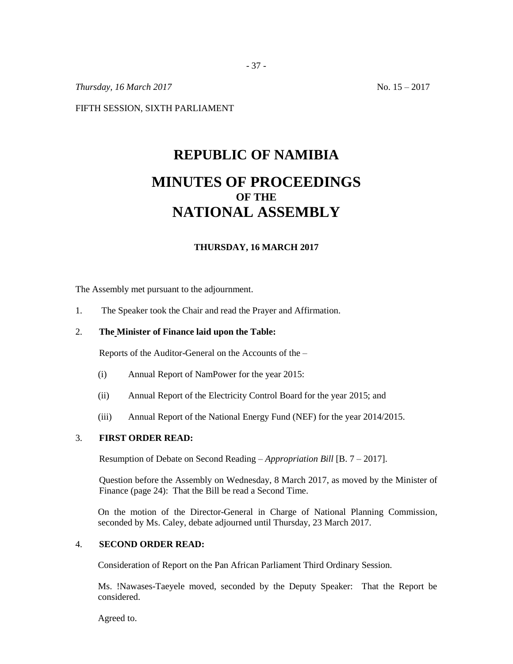*Thursday, 16 March 2017* No. 15 – 2017

FIFTH SESSION, SIXTH PARLIAMENT

# **REPUBLIC OF NAMIBIA MINUTES OF PROCEEDINGS OF THE NATIONAL ASSEMBLY**

#### **THURSDAY, 16 MARCH 2017**

The Assembly met pursuant to the adjournment.

1. The Speaker took the Chair and read the Prayer and Affirmation.

#### 2. **The Minister of Finance laid upon the Table:**

Reports of the Auditor-General on the Accounts of the –

- (i) Annual Report of NamPower for the year 2015:
- (ii) Annual Report of the Electricity Control Board for the year 2015; and
- (iii) Annual Report of the National Energy Fund (NEF) for the year 2014/2015.

## 3. **FIRST ORDER READ:**

Resumption of Debate on Second Reading – *Appropriation Bill* [B. 7 – 2017].

Question before the Assembly on Wednesday, 8 March 2017, as moved by the Minister of Finance (page 24): That the Bill be read a Second Time.

On the motion of the Director-General in Charge of National Planning Commission, seconded by Ms. Caley, debate adjourned until Thursday, 23 March 2017.

## 4. **SECOND ORDER READ:**

Consideration of Report on the Pan African Parliament Third Ordinary Session.

Ms. !Nawases-Taeyele moved, seconded by the Deputy Speaker: That the Report be considered.

Agreed to.